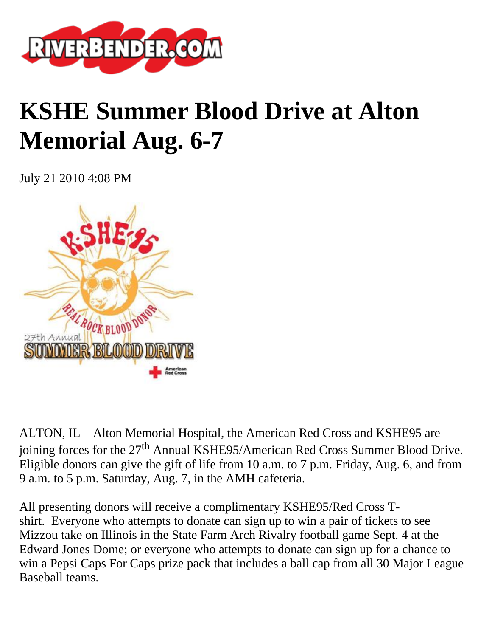

## **KSHE Summer Blood Drive at Alton Memorial Aug. 6-7**

July 21 2010 4:08 PM



ALTON, IL – Alton Memorial Hospital, the American Red Cross and KSHE95 are joining forces for the  $27<sup>th</sup>$  Annual KSHE95/American Red Cross Summer Blood Drive. Eligible donors can give the gift of life from 10 a.m. to 7 p.m. Friday, Aug. 6, and from 9 a.m. to 5 p.m. Saturday, Aug. 7, in the AMH cafeteria.

All presenting donors will receive a complimentary KSHE95/Red Cross Tshirt. Everyone who attempts to donate can sign up to win a pair of tickets to see Mizzou take on Illinois in the State Farm Arch Rivalry football game Sept. 4 at the Edward Jones Dome; or everyone who attempts to donate can sign up for a chance to win a Pepsi Caps For Caps prize pack that includes a ball cap from all 30 Major League Baseball teams.